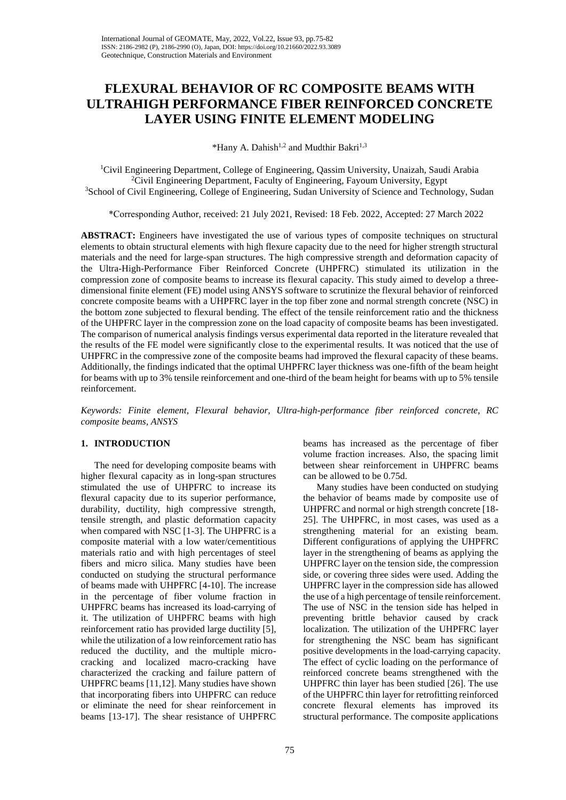# **FLEXURAL BEHAVIOR OF RC COMPOSITE BEAMS WITH ULTRAHIGH PERFORMANCE FIBER REINFORCED CONCRETE LAYER USING FINITE ELEMENT MODELING**

\*Hany A. Dahish<sup>1,2</sup> and Mudthir Bakri<sup>1,3</sup>

<sup>1</sup>Civil Engineering Department, College of Engineering, Qassim University, Unaizah, Saudi Arabia <sup>2</sup>Civil Engineering Department, Faculty of Engineering, Fayoum University, Egypt <sup>3</sup>School of Civil Engineering, College of Engineering, Sudan University of Science and Technology, Sudan

\*Corresponding Author, received: 21 July 2021, Revised: 18 Feb. 2022, Accepted: 27 March 2022

**ABSTRACT:** Engineers have investigated the use of various types of composite techniques on structural elements to obtain structural elements with high flexure capacity due to the need for higher strength structural materials and the need for large-span structures. The high compressive strength and deformation capacity of the Ultra-High-Performance Fiber Reinforced Concrete (UHPFRC) stimulated its utilization in the compression zone of composite beams to increase its flexural capacity. This study aimed to develop a threedimensional finite element (FE) model using ANSYS software to scrutinize the flexural behavior of reinforced concrete composite beams with a UHPFRC layer in the top fiber zone and normal strength concrete (NSC) in the bottom zone subjected to flexural bending. The effect of the tensile reinforcement ratio and the thickness of the UHPFRC layer in the compression zone on the load capacity of composite beams has been investigated. The comparison of numerical analysis findings versus experimental data reported in the literature revealed that the results of the FE model were significantly close to the experimental results. It was noticed that the use of UHPFRC in the compressive zone of the composite beams had improved the flexural capacity of these beams. Additionally, the findings indicated that the optimal UHPFRC layer thickness was one-fifth of the beam height for beams with up to 3% tensile reinforcement and one-third of the beam height for beams with up to 5% tensile reinforcement.

*Keywords: Finite element, Flexural behavior, Ultra-high-performance fiber reinforced concrete, RC composite beams, ANSYS*

# **1. INTRODUCTION**

The need for developing composite beams with higher flexural capacity as in long-span structures stimulated the use of UHPFRC to increase its flexural capacity due to its superior performance, durability, ductility, high compressive strength, tensile strength, and plastic deformation capacity when compared with NSC [1-3]. The UHPFRC is a composite material with a low water/cementitious materials ratio and with high percentages of steel fibers and micro silica. Many studies have been conducted on studying the structural performance of beams made with UHPFRC [4-10]. The increase in the percentage of fiber volume fraction in UHPFRC beams has increased its load-carrying of it. The utilization of UHPFRC beams with high reinforcement ratio has provided large ductility [5], while the utilization of a low reinforcement ratio has reduced the ductility, and the multiple microcracking and localized macro-cracking have characterized the cracking and failure pattern of UHPFRC beams [11,12]. Many studies have shown that incorporating fibers into UHPFRC can reduce or eliminate the need for shear reinforcement in beams [13-17]. The shear resistance of UHPFRC

beams has increased as the percentage of fiber volume fraction increases. Also, the spacing limit between shear reinforcement in UHPFRC beams can be allowed to be 0.75d.

Many studies have been conducted on studying the behavior of beams made by composite use of UHPFRC and normal or high strength concrete [18- 25]. The UHPFRC, in most cases, was used as a strengthening material for an existing beam. Different configurations of applying the UHPFRC layer in the strengthening of beams as applying the UHPFRC layer on the tension side, the compression side, or covering three sides were used. Adding the UHPFRC layer in the compression side has allowed the use of a high percentage of tensile reinforcement. The use of NSC in the tension side has helped in preventing brittle behavior caused by crack localization. The utilization of the UHPFRC layer for strengthening the NSC beam has significant positive developments in the load-carrying capacity. The effect of cyclic loading on the performance of reinforced concrete beams strengthened with the UHPFRC thin layer has been studied [26]. The use of the UHPFRC thin layer for retrofitting reinforced concrete flexural elements has improved its structural performance. The composite applications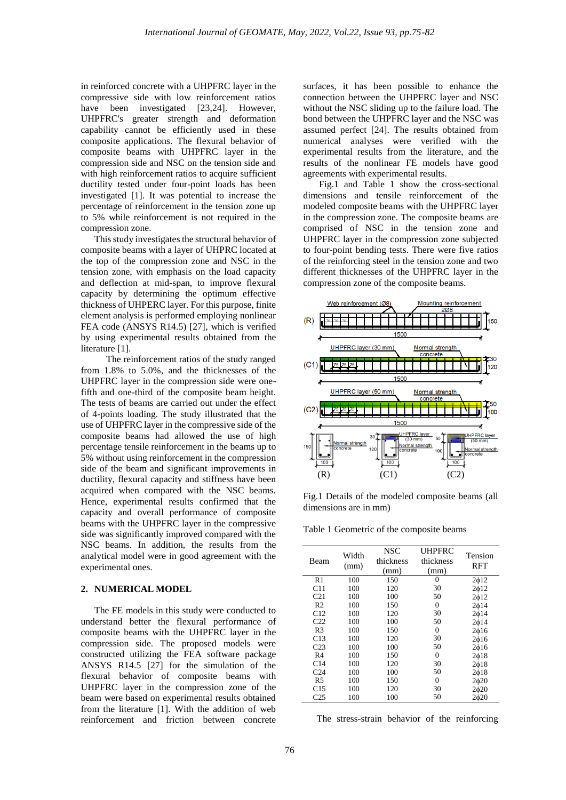in reinforced concrete with a UHPFRC layer in the compressive side with low reinforcement ratios have been investigated [23,24]. However, UHPFRC's greater strength and deformation capability cannot be efficiently used in these composite applications. The flexural behavior of composite beams with UHPFRC layer in the compression side and NSC on the tension side and with high reinforcement ratios to acquire sufficient ductility tested under four-point loads has been investigated [1]. It was potential to increase the percentage of reinforcement in the tension zone up to 5% while reinforcement is not required in the compression zone.

This study investigates the structural behavior of composite beams with a layer of UHPRC located at the top of the compression zone and NSC in the tension zone, with emphasis on the load capacity and deflection at mid-span, to improve flexural capacity by determining the optimum effective thickness of UHPERC layer. For this purpose, finite element analysis is performed employing nonlinear FEA code (ANSYS R14.5) [27], which is verified by using experimental results obtained from the literature [1].

 The reinforcement ratios of the study ranged from 1.8% to 5.0%, and the thicknesses of the UHPFRC layer in the compression side were onefifth and one-third of the composite beam height. The tests of beams are carried out under the effect of 4-points loading. The study illustrated that the use of UHPFRC layer in the compressive side of the composite beams had allowed the use of high percentage tensile reinforcement in the beams up to 5% without using reinforcement in the compression side of the beam and significant improvements in ductility, flexural capacity and stiffness have been acquired when compared with the NSC beams. Hence, experimental results confirmed that the capacity and overall performance of composite beams with the UHPFRC layer in the compressive side was significantly improved compared with the NSC beams. In addition, the results from the analytical model were in good agreement with the experimental ones.

#### **2. NUMERICAL MODEL**

The FE models in this study were conducted to understand better the flexural performance of composite beams with the UHPFRC layer in the compression side. The proposed models were constructed utilizing the FEA software package ANSYS R14.5 [27] for the simulation of the flexural behavior of composite beams with UHPFRC layer in the compression zone of the beam were based on experimental results obtained from the literature [1]. With the addition of web reinforcement and friction between concrete

surfaces, it has been possible to enhance the connection between the UHPFRC layer and NSC without the NSC sliding up to the failure load. The bond between the UHPFRC layer and the NSC was assumed perfect [24]. The results obtained from numerical analyses were verified with the experimental results from the literature, and the results of the nonlinear FE models have good agreements with experimental results.

Fig.1 and Table 1 show the cross-sectional dimensions and tensile reinforcement of the modeled composite beams with the UHPFRC layer in the compression zone. The composite beams are comprised of NSC in the tension zone and UHPFRC layer in the compression zone subjected to four-point bending tests. There were five ratios of the reinforcing steel in the tension zone and two different thicknesses of the UHPFRC layer in the compression zone of the composite beams.



Fig.1 Details of the modeled composite beams (all dimensions are in mm)

Table 1 Geometric of the composite beams

| Beam            | Width<br>(mm) | NSC<br>thickness<br>(mm) | <b>UHPFRC</b><br>thickness<br>(mm) | Tension<br>RFT        |
|-----------------|---------------|--------------------------|------------------------------------|-----------------------|
| R1              | 100           | 150                      | 0                                  | $2\phi12$             |
| C11             | 100           | 120                      | 30                                 | 2 <sub>0</sub> 12     |
| C <sub>21</sub> | 100           | 100                      | 50                                 | 2 <sub>0</sub> 12     |
| R <sub>2</sub>  | 100           | 150                      | $\theta$                           | 2 <sub>0</sub> 14     |
| C12             | 100           | 120                      | 30                                 | 2 <sub>0</sub> 14     |
| C <sub>22</sub> | 100           | 100                      | 50                                 | 2 <sub>0</sub> 14     |
| R <sub>3</sub>  | 100           | 150                      | 0                                  | 2 <sub>0</sub> 16     |
| C <sub>13</sub> | 100           | 120                      | 30                                 | 2 <sub>0</sub> 16     |
| C <sub>23</sub> | 100           | 100                      | 50                                 | 2 <sub>0</sub> 16     |
| R <sub>4</sub>  | 100           | 150                      | 0                                  | $2\phi$ 18            |
| C14             | 100           | 120                      | 30                                 | 2 <sub>0</sub> 18     |
| C <sub>24</sub> | 100           | 100                      | 50                                 | 2 <sub>0</sub> 18     |
| R5              | 100           | 150                      | $\theta$                           | $2\phi$ <sub>20</sub> |
| C15             | 100           | 120                      | 30                                 | 2 <sub>0</sub> 20     |
| C <sub>25</sub> | 100           | 100                      | 50                                 | $2\phi$ <sub>20</sub> |

The stress-strain behavior of the reinforcing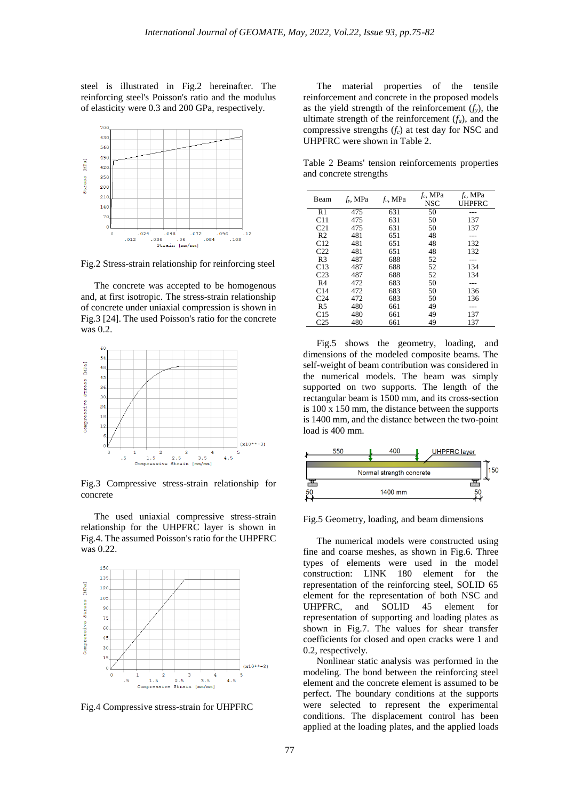steel is illustrated in Fig.2 hereinafter. The reinforcing steel's Poisson's ratio and the modulus of elasticity were 0.3 and 200 GPa, respectively.



Fig.2 Stress-strain relationship for reinforcing steel

The concrete was accepted to be homogenous and, at first isotropic. The stress-strain relationship of concrete under uniaxial compression is shown in Fig.3 [24]. The used Poisson's ratio for the concrete was 0.2.



Fig.3 Compressive stress-strain relationship for concrete

The used uniaxial compressive stress-strain relationship for the UHPFRC layer is shown in Fig.4. The assumed Poisson's ratio for the UHPFRC was 0.22.



Fig.4 Compressive stress-strain for UHPFRC

The material properties of the tensile reinforcement and concrete in the proposed models as the yield strength of the reinforcement  $(f_y)$ , the ultimate strength of the reinforcement (*fu*), and the compressive strengths (*fc*) at test day for NSC and UHPFRC were shown in Table 2.

Table 2 Beams' tension reinforcements properties and concrete strengths

| Beam            | $f_v$ , MPa | $f_u$ , MPa | $f_c$ , MPa | $f_c$ , MPa |
|-----------------|-------------|-------------|-------------|-------------|
|                 |             |             | <b>NSC</b>  | UHPFRC      |
| R <sub>1</sub>  | 475         | 631         | 50          |             |
| C11             | 475         | 631         | 50          | 137         |
| C <sub>21</sub> | 475         | 631         | 50          | 137         |
| R <sub>2</sub>  | 481         | 651         | 48          |             |
| C12             | 481         | 651         | 48          | 132         |
| C <sub>22</sub> | 481         | 651         | 48          | 132         |
| R <sub>3</sub>  | 487         | 688         | 52          |             |
| C13             | 487         | 688         | 52          | 134         |
| C <sub>23</sub> | 487         | 688         | 52          | 134         |
| R <sub>4</sub>  | 472         | 683         | 50          |             |
| C <sub>14</sub> | 472         | 683         | 50          | 136         |
| C <sub>24</sub> | 472         | 683         | 50          | 136         |
| R5              | 480         | 661         | 49          |             |
| C15             | 480         | 661         | 49          | 137         |
| C25             | 480         | 661         | 49          | 137         |

Fig.5 shows the geometry, loading, and dimensions of the modeled composite beams. The self-weight of beam contribution was considered in the numerical models. The beam was simply supported on two supports. The length of the rectangular beam is 1500 mm, and its cross-section is 100 x 150 mm, the distance between the supports is 1400 mm, and the distance between the two-point load is 400 mm.



Fig.5 Geometry, loading, and beam dimensions

The numerical models were constructed using fine and coarse meshes, as shown in Fig.6. Three types of elements were used in the model construction: LINK 180 element for the representation of the reinforcing steel, SOLID 65 element for the representation of both NSC and UHPFRC, and SOLID 45 element for representation of supporting and loading plates as shown in Fig.7. The values for shear transfer coefficients for closed and open cracks were 1 and 0.2, respectively.

Nonlinear static analysis was performed in the modeling. The bond between the reinforcing steel element and the concrete element is assumed to be perfect. The boundary conditions at the supports were selected to represent the experimental conditions. The displacement control has been applied at the loading plates, and the applied loads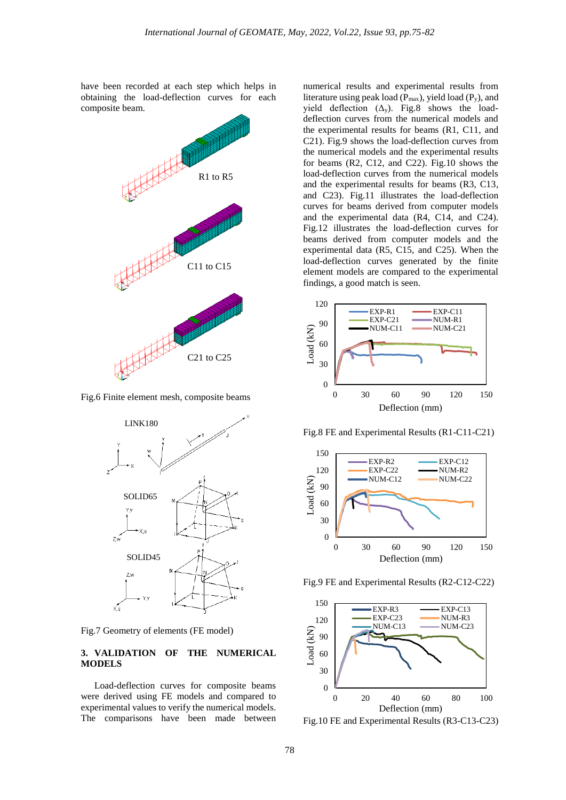have been recorded at each step which helps in obtaining the load-deflection curves for each composite beam.



Fig.6 Finite element mesh, composite beams



Fig.7 Geometry of elements (FE model)

# **3. VALIDATION OF THE NUMERICAL MODELS**

Load-deflection curves for composite beams were derived using FE models and compared to experimental values to verify the numerical models. The comparisons have been made between

numerical results and experimental results from literature using peak load ( $P_{max}$ ), yield load ( $P_y$ ), and yield deflection  $(\Delta_y)$ . Fig.8 shows the loaddeflection curves from the numerical models and the experimental results for beams (R1, C11, and C21). Fig.9 shows the load-deflection curves from the numerical models and the experimental results for beams (R2, C12, and C22). Fig.10 shows the load-deflection curves from the numerical models and the experimental results for beams (R3, C13, and C23). Fig.11 illustrates the load-deflection curves for beams derived from computer models and the experimental data (R4, C14, and C24). Fig.12 illustrates the load-deflection curves for beams derived from computer models and the experimental data (R5, C15, and C25). When the load-deflection curves generated by the finite element models are compared to the experimental findings, a good match is seen.



Fig.8 FE and Experimental Results (R1-C11-C21)



Fig.9 FE and Experimental Results (R2-C12-C22)



Fig.10 FE and Experimental Results (R3-C13-C23)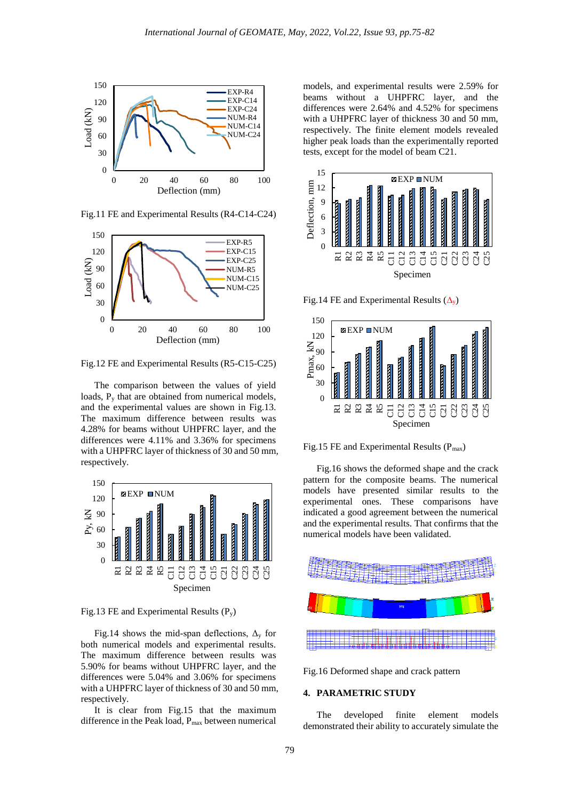

Fig.11 FE and Experimental Results (R4-C14-C24)



Fig.12 FE and Experimental Results (R5-C15-C25)

The comparison between the values of yield loads,  $P_y$  that are obtained from numerical models, and the experimental values are shown in Fig.13. The maximum difference between results was 4.28% for beams without UHPFRC layer, and the differences were 4.11% and 3.36% for specimens with a UHPFRC layer of thickness of 30 and 50 mm, respectively.



Fig.13 FE and Experimental Results  $(P_v)$ 

Fig.14 shows the mid-span deflections,  $\Delta_{\rm v}$  for both numerical models and experimental results. The maximum difference between results was 5.90% for beams without UHPFRC layer, and the differences were 5.04% and 3.06% for specimens with a UHPFRC layer of thickness of 30 and 50 mm, respectively.

It is clear from Fig.15 that the maximum difference in the Peak load, Pmax between numerical

models, and experimental results were 2.59% for beams without a UHPFRC layer, and the differences were 2.64% and 4.52% for specimens with a UHPFRC layer of thickness 30 and 50 mm, respectively. The finite element models revealed higher peak loads than the experimentally reported tests, except for the model of beam C21.



Fig.14 FE and Experimental Results  $(\Delta_{\rm v})$ 



Fig.15 FE and Experimental Results  $(P_{max})$ 

Fig.16 shows the deformed shape and the crack pattern for the composite beams. The numerical models have presented similar results to the experimental ones. These comparisons have indicated a good agreement between the numerical and the experimental results. That confirms that the numerical models have been validated.



Fig.16 Deformed shape and crack pattern

## **4. PARAMETRIC STUDY**

The developed finite element models demonstrated their ability to accurately simulate the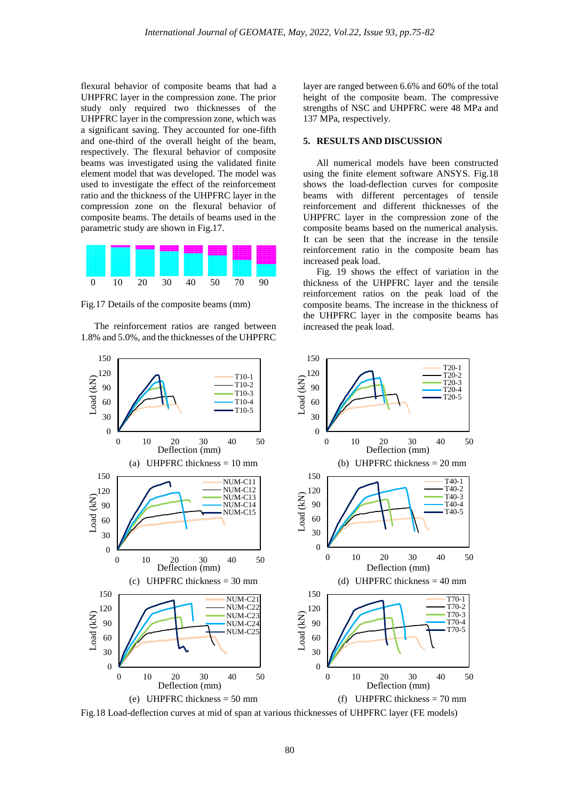flexural behavior of composite beams that had a UHPFRC layer in the compression zone. The prior study only required two thicknesses of the UHPFRC layer in the compression zone, which was a significant saving. They accounted for one-fifth and one-third of the overall height of the beam, respectively. The flexural behavior of composite beams was investigated using the validated finite element model that was developed. The model was used to investigate the effect of the reinforcement ratio and the thickness of the UHPFRC layer in the compression zone on the flexural behavior of composite beams. The details of beams used in the parametric study are shown in Fig.17.



Fig.17 Details of the composite beams (mm)

The reinforcement ratios are ranged between 1.8% and 5.0%, and the thicknesses of the UHPFRC layer are ranged between 6.6% and 60% of the total height of the composite beam. The compressive strengths of NSC and UHPFRC were 48 MPa and 137 MPa, respectively.

## **5. RESULTS AND DISCUSSION**

All numerical models have been constructed using the finite element software ANSYS. Fig.18 shows the load-deflection curves for composite beams with different percentages of tensile reinforcement and different thicknesses of the UHPFRC layer in the compression zone of the composite beams based on the numerical analysis. It can be seen that the increase in the tensile reinforcement ratio in the composite beam has increased peak load.

Fig. 19 shows the effect of variation in the thickness of the UHPFRC layer and the tensile reinforcement ratios on the peak load of the composite beams. The increase in the thickness of the UHPFRC layer in the composite beams has increased the peak load.



Fig.18 Load-deflection curves at mid of span at various thicknesses of UHPFRC layer (FE models)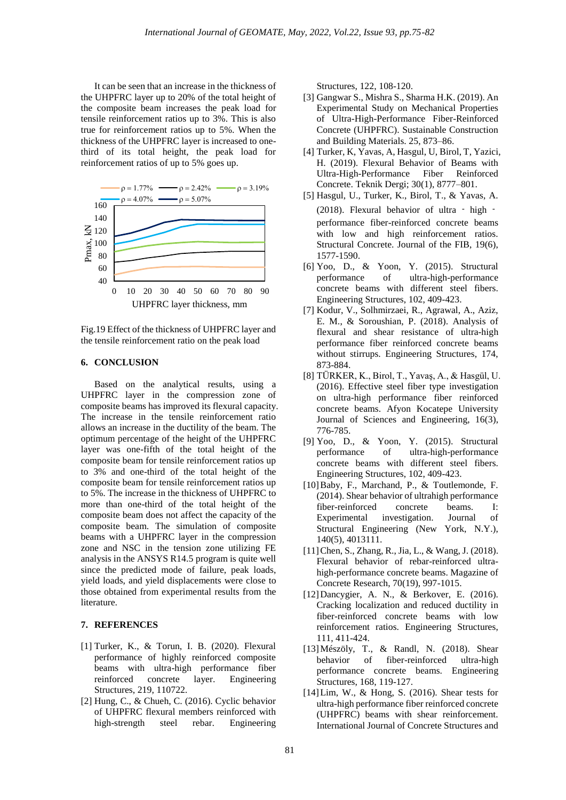It can be seen that an increase in the thickness of the UHPFRC layer up to 20% of the total height of the composite beam increases the peak load for tensile reinforcement ratios up to 3%. This is also true for reinforcement ratios up to 5%. When the thickness of the UHPFRC layer is increased to onethird of its total height, the peak load for reinforcement ratios of up to 5% goes up.



Fig.19 Effect of the thickness of UHPFRC layer and the tensile reinforcement ratio on the peak load

### **6. CONCLUSION**

Based on the analytical results, using a UHPFRC layer in the compression zone of composite beams has improved its flexural capacity. The increase in the tensile reinforcement ratio allows an increase in the ductility of the beam. The optimum percentage of the height of the UHPFRC layer was one-fifth of the total height of the composite beam for tensile reinforcement ratios up to 3% and one-third of the total height of the composite beam for tensile reinforcement ratios up to 5%. The increase in the thickness of UHPFRC to more than one-third of the total height of the composite beam does not affect the capacity of the composite beam. The simulation of composite beams with a UHPFRC layer in the compression zone and NSC in the tension zone utilizing FE analysis in the ANSYS R14.5 program is quite well since the predicted mode of failure, peak loads, yield loads, and yield displacements were close to those obtained from experimental results from the literature.

### **7. REFERENCES**

- [1] Turker, K., & Torun, I. B. (2020). Flexural performance of highly reinforced composite beams with ultra-high performance fiber reinforced concrete layer. Engineering Structures, 219, 110722.
- [2] Hung, C., & Chueh, C. (2016). Cyclic behavior of UHPFRC flexural members reinforced with high-strength steel rebar. Engineering

Structures, 122, 108-120.

- [3] Gangwar S., Mishra S., Sharma H.K. (2019). An Experimental Study on Mechanical Properties of Ultra-High-Performance Fiber-Reinforced Concrete (UHPFRC). Sustainable Construction and Building Materials. 25, 873–86.
- [4] Turker, K, Yavas, A, Hasgul, U, Birol, T, Yazici, H. (2019). Flexural Behavior of Beams with Ultra-High-Performance Fiber Reinforced Concrete. Teknik Dergi; 30(1), 8777–801.
- [5] Hasgul, U., Turker, K., Birol, T., & Yavas, A. (2018). Flexural behavior of ultra ‐ high ‐ performance fiber-reinforced concrete beams with low and high reinforcement ratios. Structural Concrete. Journal of the FIB, 19(6), 1577-1590.
- [6] Yoo, D., & Yoon, Y. (2015). Structural performance of ultra-high-performance concrete beams with different steel fibers. Engineering Structures, 102, 409-423.
- [7] Kodur, V., Solhmirzaei, R., Agrawal, A., Aziz, E. M., & Soroushian, P. (2018). Analysis of flexural and shear resistance of ultra-high performance fiber reinforced concrete beams without stirrups. Engineering Structures, 174, 873-884.
- [8] TÜRKER, K., Birol, T., Yavaş, A., & Hasgül, U. (2016). Effective steel fiber type investigation on ultra-high performance fiber reinforced concrete beams. Afyon Kocatepe University Journal of Sciences and Engineering, 16(3), 776-785.
- [9] Yoo, D., & Yoon, Y. (2015). Structural performance of ultra-high-performance concrete beams with different steel fibers. Engineering Structures, 102, 409-423.
- [10]Baby, F., Marchand, P., & Toutlemonde, F. (2014). Shear behavior of ultrahigh performance fiber-reinforced concrete beams. I: Experimental investigation. Journal of Structural Engineering (New York, N.Y.), 140(5), 4013111.
- [11]Chen, S., Zhang, R., Jia, L., & Wang, J. (2018). Flexural behavior of rebar-reinforced ultrahigh-performance concrete beams. Magazine of Concrete Research, 70(19), 997-1015.
- [12]Dancygier, A. N., & Berkover, E. (2016). Cracking localization and reduced ductility in fiber-reinforced concrete beams with low reinforcement ratios. Engineering Structures, 111, 411-424.
- [13]Mészöly, T., & Randl, N. (2018). Shear behavior of fiber-reinforced ultra-high performance concrete beams. Engineering Structures, 168, 119-127.
- [14]Lim, W., & Hong, S. (2016). Shear tests for ultra-high performance fiber reinforced concrete (UHPFRC) beams with shear reinforcement. International Journal of Concrete Structures and